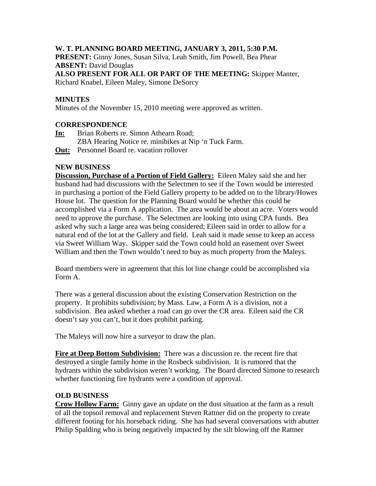# **W. T. PLANNING BOARD MEETING, JANUARY 3, 2011, 5:30 P.M.**

**PRESENT:** Ginny Jones, Susan Silva, Leah Smith, Jim Powell, Bea Phear **ABSENT:** David Douglas **ALSO PRESENT FOR ALL OR PART OF THE MEETING:** Skipper Manter, Richard Knabel, Eileen Maley, Simone DeSorcy

# **MINUTES**

Minutes of the November 15, 2010 meeting were approved as written.

### **CORRESPONDENCE**

- **In:** Brian Roberts re. Simon Athearn Road;
	- ZBA Hearing Notice re. minibikes at Nip 'n Tuck Farm.
- **Out:** Personnel Board re. vacation rollover

### **NEW BUSINESS**

**Discussion, Purchase of a Portion of Field Gallery:** Eileen Maley said she and her husband had had discussions with the Selectmen to see if the Town would be interested in purchasing a portion of the Field Gallery property to be added on to the library/Howes House lot. The question for the Planning Board would be whether this could be accomplished via a Form A application. The area would be about an acre. Voters would need to approve the purchase. The Selectmen are looking into using CPA funds. Bea asked why such a large area was being considered; Eileen said in order to allow for a natural end of the lot at the Gallery and field. Leah said it made sense to keep an access via Sweet William Way. Skipper said the Town could hold an easement over Sweet William and then the Town wouldn't need to buy as much property from the Maleys.

Board members were in agreement that this lot line change could be accomplished via Form A.

There was a general discussion about the existing Conservation Restriction on the property. It prohibits subdivision; by Mass. Law, a Form A is a division, not a subdivision. Bea asked whether a road can go over the CR area. Eileen said the CR doesn't say you can't, but it does prohibit parking.

The Maleys will now hire a surveyor to draw the plan.

**Fire at Deep Bottom Subdivision:** There was a discussion re. the recent fire that destroyed a single family home in the Rosbeck subdivision. It is rumored that the hydrants within the subdivision weren't working. The Board directed Simone to research whether functioning fire hydrants were a condition of approval.

### **OLD BUSINESS**

**Crow Hollow Farm:** Ginny gave an update on the dust situation at the farm as a result of all the topsoil removal and replacement Steven Rattner did on the property to create different footing for his horseback riding. She has had several conversations with abutter Philip Spalding who is being negatively impacted by the silt blowing off the Rattner